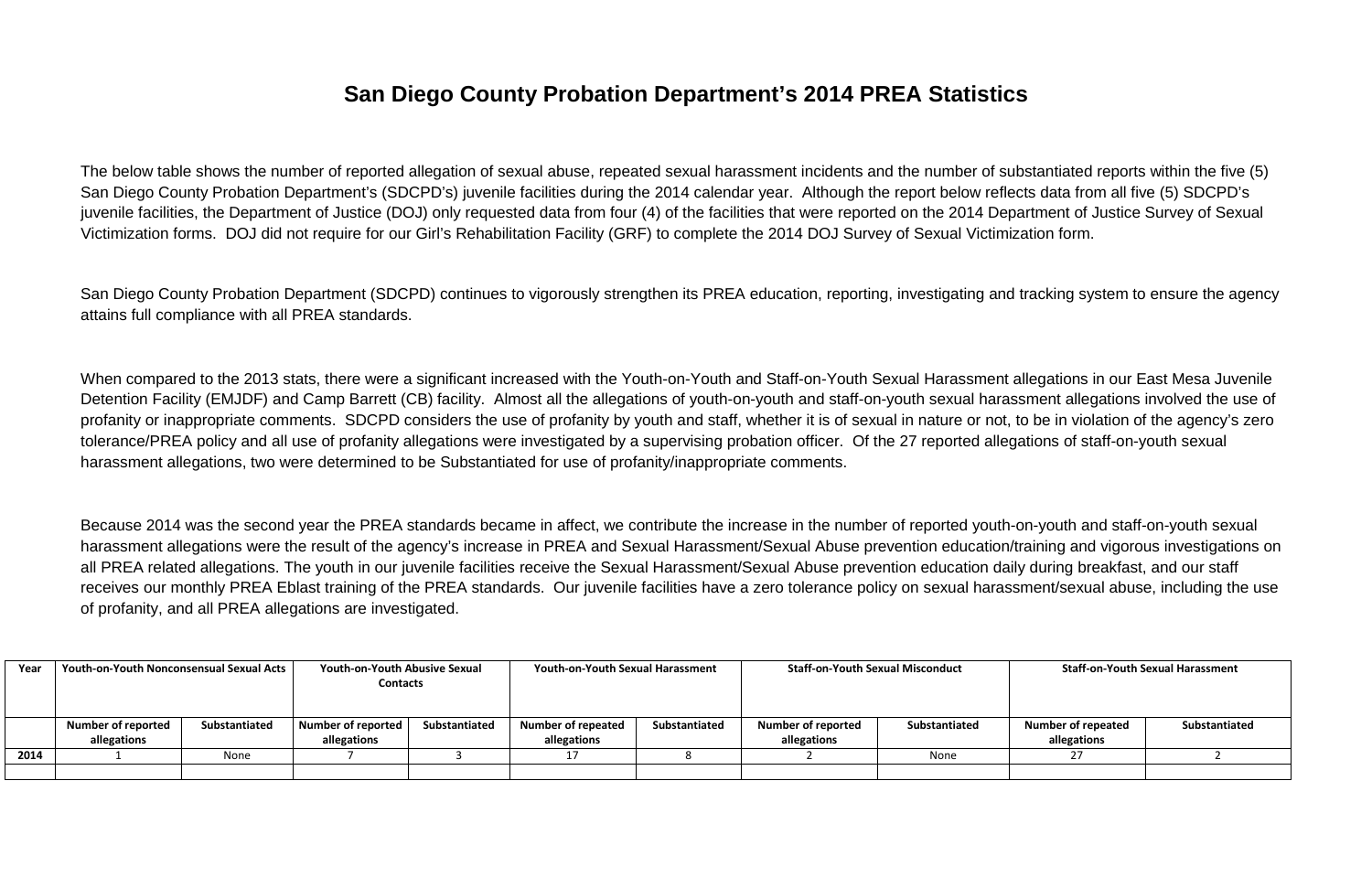### **San Diego County Probation Department's 2014 PREA Statistics**

The below table shows the number of reported allegation of sexual abuse, repeated sexual harassment incidents and the number of substantiated reports within the five (5) San Diego County Probation Department's (SDCPD's) juvenile facilities during the 2014 calendar year. Although the report below reflects data from all five (5) SDCPD's juvenile facilities, the Department of Justice (DOJ) only requested data from four (4) of the facilities that were reported on the 2014 Department of Justice Survey of Sexual Victimization forms. DOJ did not require for our Girl's Rehabilitation Facility (GRF) to complete the 2014 DOJ Survey of Sexual Victimization form.

San Diego County Probation Department (SDCPD) continues to vigorously strengthen its PREA education, reporting, investigating and tracking system to ensure the agency attains full compliance with all PREA standards.

When compared to the 2013 stats, there were a significant increased with the Youth-on-Youth and Staff-on-Youth Sexual Harassment allegations in our East Mesa Juvenile Detention Facility (EMJDF) and Camp Barrett (CB) facility. Almost all the allegations of youth-on-youth and staff-on-youth sexual harassment allegations involved the use of profanity or inappropriate comments. SDCPD considers the use of profanity by youth and staff, whether it is of sexual in nature or not, to be in violation of the agency's zero tolerance/PREA policy and all use of profanity allegations were investigated by a supervising probation officer. Of the 27 reported allegations of staff-on-youth sexual harassment allegations, two were determined to be Substantiated for use of profanity/inappropriate comments.

Because 2014 was the second year the PREA standards became in affect, we contribute the increase in the number of reported youth-on-youth and staff-on-youth sexual harassment allegations were the result of the agency's increase in PREA and Sexual Harassment/Sexual Abuse prevention education/training and vigorous investigations on all PREA related allegations. The youth in our juvenile facilities receive the Sexual Harassment/Sexual Abuse prevention education daily during breakfast, and our staff receives our monthly PREA Eblast training of the PREA standards. Our juvenile facilities have a zero tolerance policy on sexual harassment/sexual abuse, including the use of profanity, and all PREA allegations are investigated.

| Year | Youth-on-Youth Nonconsensual Sexual Acts |               | <b>Youth-on-Youth Abusive Sexual</b><br><b>Contacts</b> |               | <b>Youth-on-Youth Sexual Harassment</b>  |               | <b>Staff-on-Youth Sexual Misconduct</b>  |               | <b>Staff-on-Youth Sexual Harassment</b>  |               |
|------|------------------------------------------|---------------|---------------------------------------------------------|---------------|------------------------------------------|---------------|------------------------------------------|---------------|------------------------------------------|---------------|
|      | <b>Number of reported</b><br>allegations | Substantiated | Number of reported<br>allegations                       | Substantiated | <b>Number of repeated</b><br>allegations | Substantiated | <b>Number of reported</b><br>allegations | Substantiated | <b>Number of repeated</b><br>allegations | Substantiated |
| 2014 |                                          | None          |                                                         |               |                                          |               |                                          | None          |                                          |               |
|      |                                          |               |                                                         |               |                                          |               |                                          |               |                                          |               |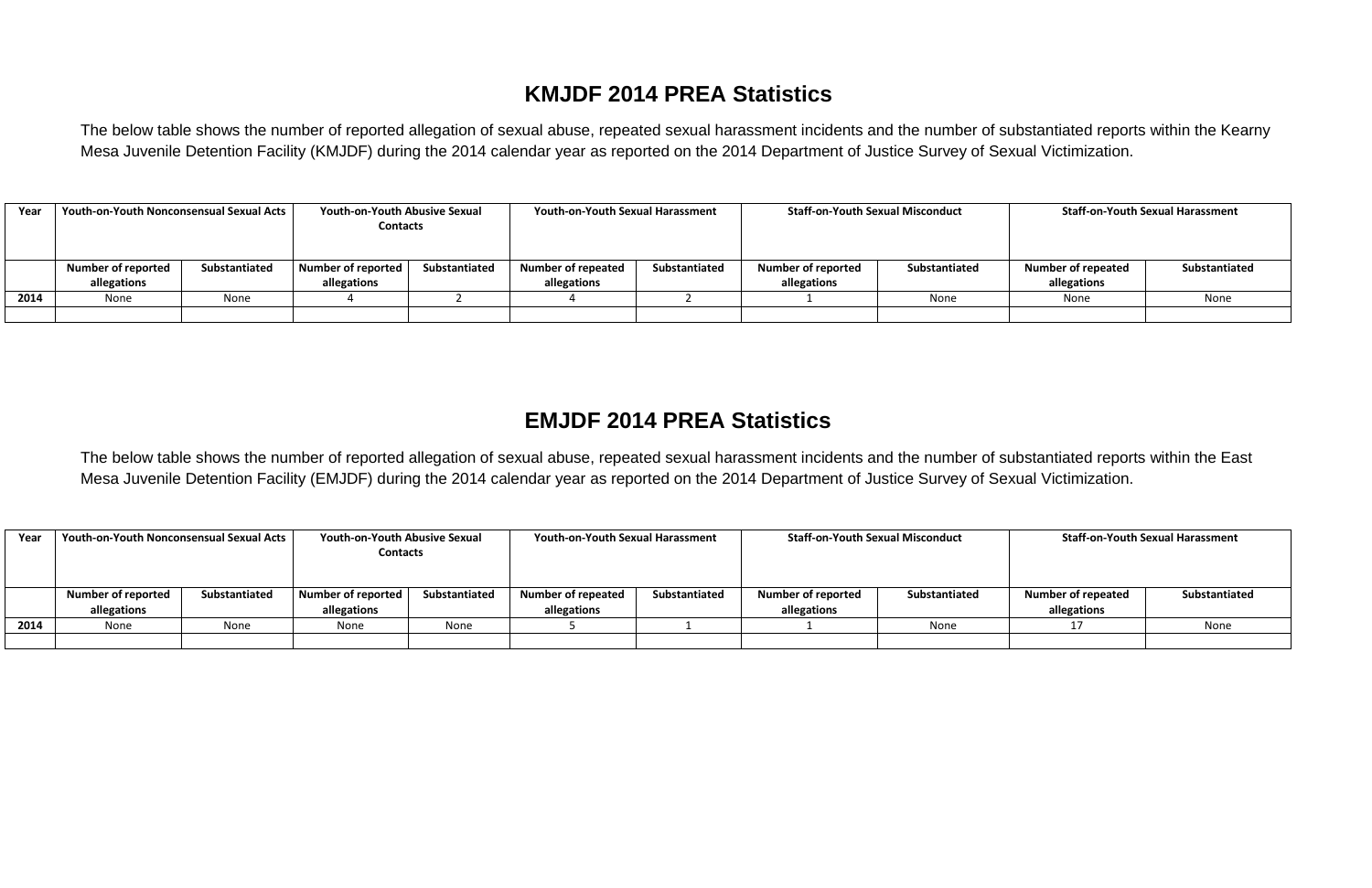### **KMJDF 2014 PREA Statistics**

The below table shows the number of reported allegation of sexual abuse, repeated sexual harassment incidents and the number of substantiated reports within the Kearny Mesa Juvenile Detention Facility (KMJDF) during the 2014 calendar year as reported on the 2014 Department of Justice Survey of Sexual Victimization.

| Year | <b>Youth-on-Youth Nonconsensual Sexual Acts</b> |               | <b>Youth-on-Youth Abusive Sexual</b><br><b>Contacts</b> |               | <b>Youth-on-Youth Sexual Harassment</b> |               | <b>Staff-on-Youth Sexual Misconduct</b> |               | <b>Staff-on-Youth Sexual Harassment</b> |               |
|------|-------------------------------------------------|---------------|---------------------------------------------------------|---------------|-----------------------------------------|---------------|-----------------------------------------|---------------|-----------------------------------------|---------------|
|      | <b>Number of reported</b>                       | Substantiated | Number of reported                                      | Substantiated | <b>Number of repeated</b>               | Substantiated | <b>Number of reported</b>               | Substantiated | <b>Number of repeated</b>               | Substantiated |
|      | allegations                                     |               | allegations                                             |               | allegations                             |               | allegations                             |               | allegations                             |               |
| 2014 | None                                            | None          |                                                         |               |                                         |               |                                         | None          | None                                    | None          |
|      |                                                 |               |                                                         |               |                                         |               |                                         |               |                                         |               |

### **EMJDF 2014 PREA Statistics**

The below table shows the number of reported allegation of sexual abuse, repeated sexual harassment incidents and the number of substantiated reports within the East Mesa Juvenile Detention Facility (EMJDF) during the 2014 calendar year as reported on the 2014 Department of Justice Survey of Sexual Victimization.

| Year | <b>Youth-on-Youth Nonconsensual Sexual Acts</b> |               | <b>Youth-on-Youth Abusive Sexual</b><br><b>Contacts</b> |               | <b>Youth-on-Youth Sexual Harassment</b> |               | <b>Staff-on-Youth Sexual Misconduct</b> |               | <b>Staff-on-Youth Sexual Harassment</b> |               |
|------|-------------------------------------------------|---------------|---------------------------------------------------------|---------------|-----------------------------------------|---------------|-----------------------------------------|---------------|-----------------------------------------|---------------|
|      |                                                 |               |                                                         |               |                                         |               |                                         |               |                                         |               |
|      | <b>Number of reported</b>                       | Substantiated | Number of reported                                      | Substantiated | <b>Number of repeated</b>               | Substantiated | <b>Number of reported</b>               | Substantiated | <b>Number of repeated</b>               | Substantiated |
|      | allegations                                     |               | allegations                                             |               | allegations                             |               | allegations                             |               | allegations                             |               |
| 2014 | None                                            | None          | None                                                    | None          |                                         |               |                                         | None          |                                         | None          |
|      |                                                 |               |                                                         |               |                                         |               |                                         |               |                                         |               |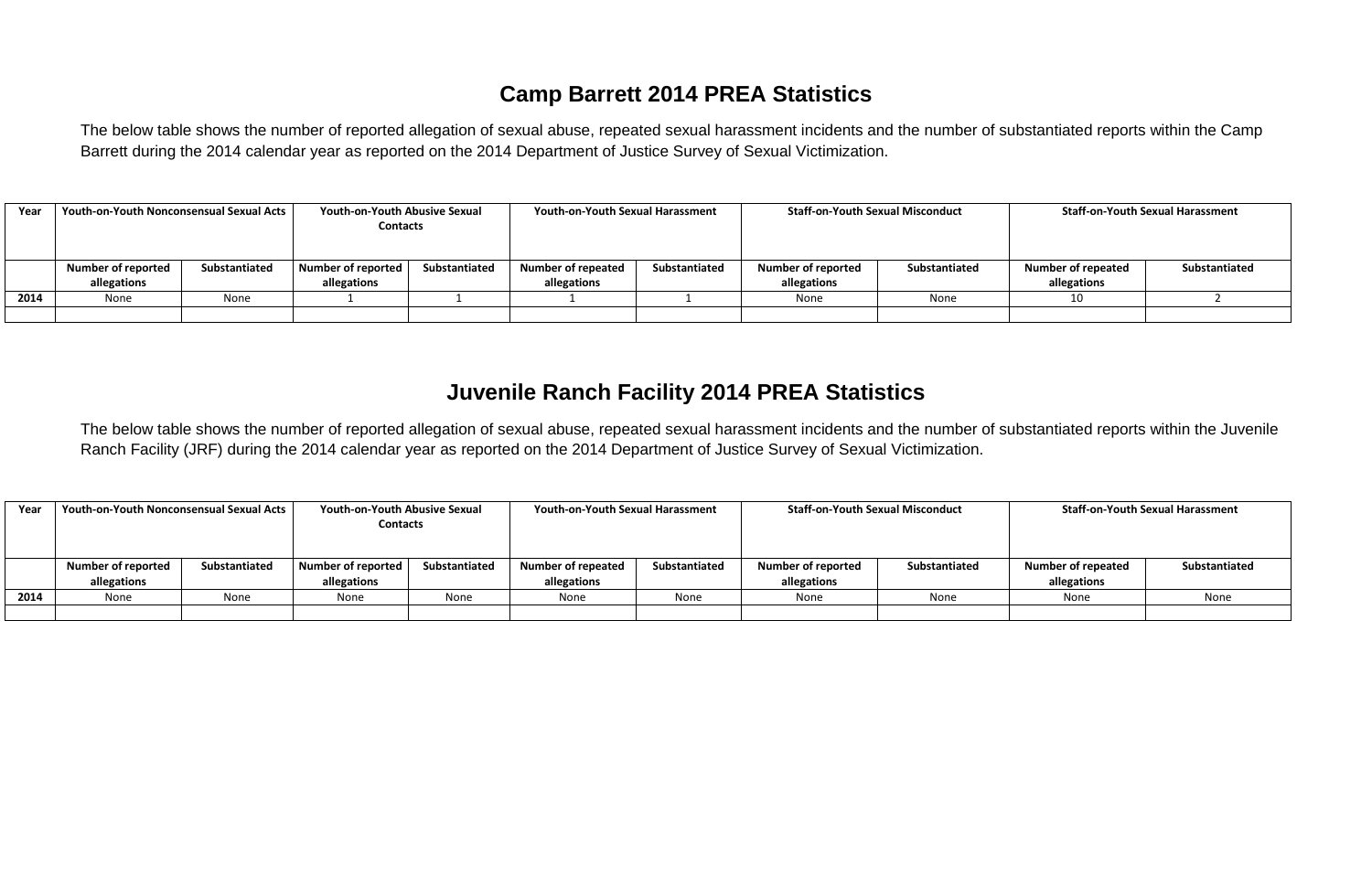## **Camp Barrett 2014 PREA Statistics**

The below table shows the number of reported allegation of sexual abuse, repeated sexual harassment incidents and the number of substantiated reports within the Camp Barrett during the 2014 calendar year as reported on the 2014 Department of Justice Survey of Sexual Victimization.

| Year | <b>Youth-on-Youth Nonconsensual Sexual Acts</b> |               | <b>Youth-on-Youth Abusive Sexual</b> |               | <b>Youth-on-Youth Sexual Harassment</b> |               | <b>Staff-on-Youth Sexual Misconduct</b> |               | <b>Staff-on-Youth Sexual Harassment</b> |               |
|------|-------------------------------------------------|---------------|--------------------------------------|---------------|-----------------------------------------|---------------|-----------------------------------------|---------------|-----------------------------------------|---------------|
|      |                                                 |               | <b>Contacts</b>                      |               |                                         |               |                                         |               |                                         |               |
|      |                                                 |               |                                      |               |                                         |               |                                         |               |                                         |               |
|      | <b>Number of reported</b>                       | Substantiated | Number of reported                   | Substantiated | <b>Number of repeated</b>               | Substantiated | <b>Number of reported</b>               | Substantiated | <b>Number of repeated</b>               | Substantiated |
|      | allegations                                     |               | allegations                          |               | allegations                             |               | allegations                             |               | allegations                             |               |
| 2014 | None                                            | None          |                                      |               |                                         |               | None                                    | None          | 10                                      |               |
|      |                                                 |               |                                      |               |                                         |               |                                         |               |                                         |               |

### **Juvenile Ranch Facility 2014 PREA Statistics**

The below table shows the number of reported allegation of sexual abuse, repeated sexual harassment incidents and the number of substantiated reports within the Juvenile Ranch Facility (JRF) during the 2014 calendar year as reported on the 2014 Department of Justice Survey of Sexual Victimization.

| Year | <b>Youth-on-Youth Nonconsensual Sexual Acts</b> |               | <b>Youth-on-Youth Abusive Sexual</b><br><b>Contacts</b> |               | <b>Youth-on-Youth Sexual Harassment</b> |               | <b>Staff-on-Youth Sexual Misconduct</b> |               | <b>Staff-on-Youth Sexual Harassment</b> |               |  |
|------|-------------------------------------------------|---------------|---------------------------------------------------------|---------------|-----------------------------------------|---------------|-----------------------------------------|---------------|-----------------------------------------|---------------|--|
|      |                                                 |               |                                                         |               |                                         |               |                                         |               |                                         |               |  |
|      | <b>Number of reported</b>                       | Substantiated | <b>Number of reported</b>                               | Substantiated | <b>Number of repeated</b>               | Substantiated | <b>Number of reported</b>               | Substantiated | <b>Number of repeated</b>               | Substantiated |  |
|      | allegations                                     |               | allegations                                             |               | allegations                             |               | allegations                             |               | allegations                             |               |  |
| 2014 | None                                            | None          | None                                                    | None          | None                                    | None          | None                                    | None          | None                                    | None          |  |
|      |                                                 |               |                                                         |               |                                         |               |                                         |               |                                         |               |  |